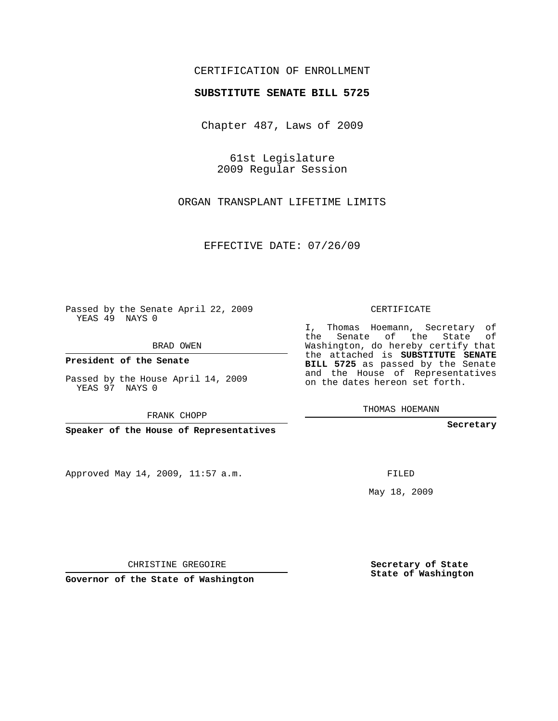## CERTIFICATION OF ENROLLMENT

## **SUBSTITUTE SENATE BILL 5725**

Chapter 487, Laws of 2009

61st Legislature 2009 Regular Session

ORGAN TRANSPLANT LIFETIME LIMITS

EFFECTIVE DATE: 07/26/09

Passed by the Senate April 22, 2009 YEAS 49 NAYS 0

BRAD OWEN

**President of the Senate**

Passed by the House April 14, 2009 YEAS 97 NAYS 0

FRANK CHOPP

**Speaker of the House of Representatives**

Approved May 14, 2009, 11:57 a.m.

CERTIFICATE

I, Thomas Hoemann, Secretary of the Senate of the State of Washington, do hereby certify that the attached is **SUBSTITUTE SENATE BILL 5725** as passed by the Senate and the House of Representatives on the dates hereon set forth.

THOMAS HOEMANN

**Secretary**

FILED

May 18, 2009

**Secretary of State State of Washington**

CHRISTINE GREGOIRE

**Governor of the State of Washington**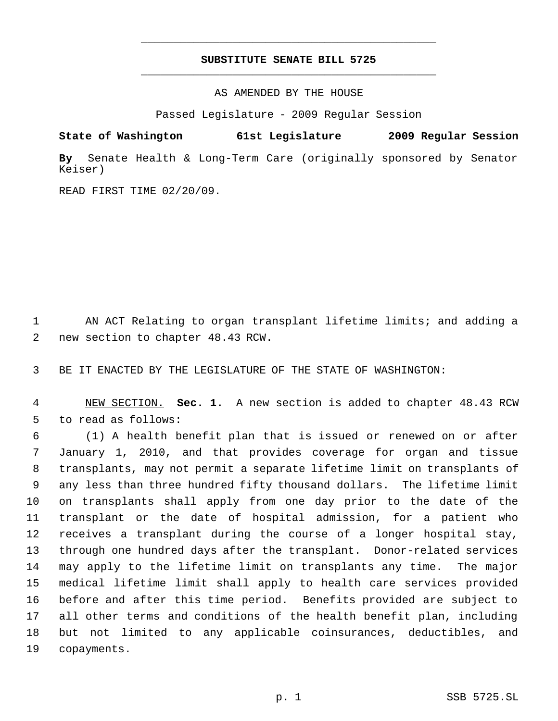## **SUBSTITUTE SENATE BILL 5725** \_\_\_\_\_\_\_\_\_\_\_\_\_\_\_\_\_\_\_\_\_\_\_\_\_\_\_\_\_\_\_\_\_\_\_\_\_\_\_\_\_\_\_\_\_

\_\_\_\_\_\_\_\_\_\_\_\_\_\_\_\_\_\_\_\_\_\_\_\_\_\_\_\_\_\_\_\_\_\_\_\_\_\_\_\_\_\_\_\_\_

AS AMENDED BY THE HOUSE

Passed Legislature - 2009 Regular Session

**State of Washington 61st Legislature 2009 Regular Session**

**By** Senate Health & Long-Term Care (originally sponsored by Senator Keiser)

READ FIRST TIME 02/20/09.

 AN ACT Relating to organ transplant lifetime limits; and adding a new section to chapter 48.43 RCW.

BE IT ENACTED BY THE LEGISLATURE OF THE STATE OF WASHINGTON:

 NEW SECTION. **Sec. 1.** A new section is added to chapter 48.43 RCW to read as follows:

 (1) A health benefit plan that is issued or renewed on or after January 1, 2010, and that provides coverage for organ and tissue transplants, may not permit a separate lifetime limit on transplants of any less than three hundred fifty thousand dollars. The lifetime limit on transplants shall apply from one day prior to the date of the transplant or the date of hospital admission, for a patient who receives a transplant during the course of a longer hospital stay, through one hundred days after the transplant. Donor-related services may apply to the lifetime limit on transplants any time. The major medical lifetime limit shall apply to health care services provided before and after this time period. Benefits provided are subject to all other terms and conditions of the health benefit plan, including but not limited to any applicable coinsurances, deductibles, and copayments.